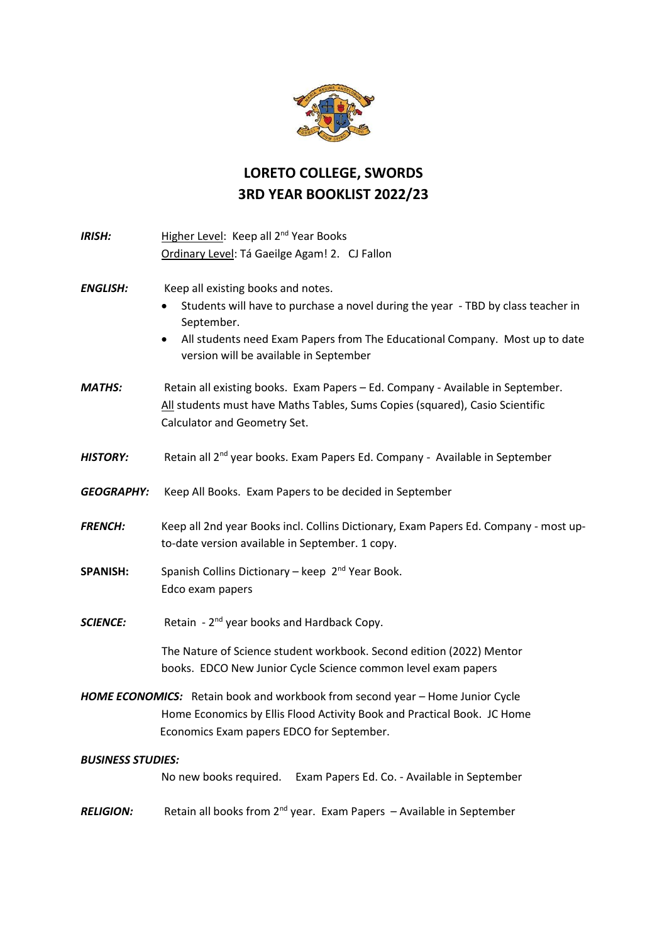

## **LORETO COLLEGE, SWORDS 3RD YEAR BOOKLIST 2022/23**

| <b>IRISH:</b>                                                                 | Higher Level: Keep all 2 <sup>nd</sup> Year Books                                             |
|-------------------------------------------------------------------------------|-----------------------------------------------------------------------------------------------|
|                                                                               | Ordinary Level: Tá Gaeilge Agam! 2. CJ Fallon                                                 |
|                                                                               |                                                                                               |
| <b>ENGLISH:</b>                                                               | Keep all existing books and notes.                                                            |
|                                                                               | Students will have to purchase a novel during the year - TBD by class teacher in<br>$\bullet$ |
|                                                                               | September.                                                                                    |
|                                                                               | All students need Exam Papers from The Educational Company. Most up to date<br>$\bullet$      |
|                                                                               | version will be available in September                                                        |
|                                                                               |                                                                                               |
| <b>MATHS:</b>                                                                 | Retain all existing books. Exam Papers - Ed. Company - Available in September.                |
|                                                                               | All students must have Maths Tables, Sums Copies (squared), Casio Scientific                  |
|                                                                               | Calculator and Geometry Set.                                                                  |
|                                                                               |                                                                                               |
| <b>HISTORY:</b>                                                               | Retain all 2 <sup>nd</sup> year books. Exam Papers Ed. Company - Available in September       |
|                                                                               |                                                                                               |
| <b>GEOGRAPHY:</b>                                                             | Keep All Books. Exam Papers to be decided in September                                        |
|                                                                               |                                                                                               |
| <b>FRENCH:</b>                                                                | Keep all 2nd year Books incl. Collins Dictionary, Exam Papers Ed. Company - most up-          |
|                                                                               | to-date version available in September. 1 copy.                                               |
|                                                                               |                                                                                               |
| <b>SPANISH:</b>                                                               | Spanish Collins Dictionary - keep 2 <sup>nd</sup> Year Book.                                  |
|                                                                               | Edco exam papers                                                                              |
|                                                                               |                                                                                               |
| <b>SCIENCE:</b>                                                               | Retain - 2 <sup>nd</sup> year books and Hardback Copy.                                        |
|                                                                               | The Nature of Science student workbook. Second edition (2022) Mentor                          |
|                                                                               | books. EDCO New Junior Cycle Science common level exam papers                                 |
|                                                                               |                                                                                               |
| HOME ECONOMICS: Retain book and workbook from second year - Home Junior Cycle |                                                                                               |
|                                                                               | Home Economics by Ellis Flood Activity Book and Practical Book. JC Home                       |
|                                                                               | Economics Exam papers EDCO for September.                                                     |
|                                                                               |                                                                                               |
| <b>BUSINESS STUDIES:</b>                                                      |                                                                                               |
|                                                                               | No new books required.<br>Exam Papers Ed. Co. - Available in September                        |
|                                                                               |                                                                                               |
| <b>RELIGION:</b>                                                              | Retain all books from 2 <sup>nd</sup> year. Exam Papers - Available in September              |
|                                                                               |                                                                                               |